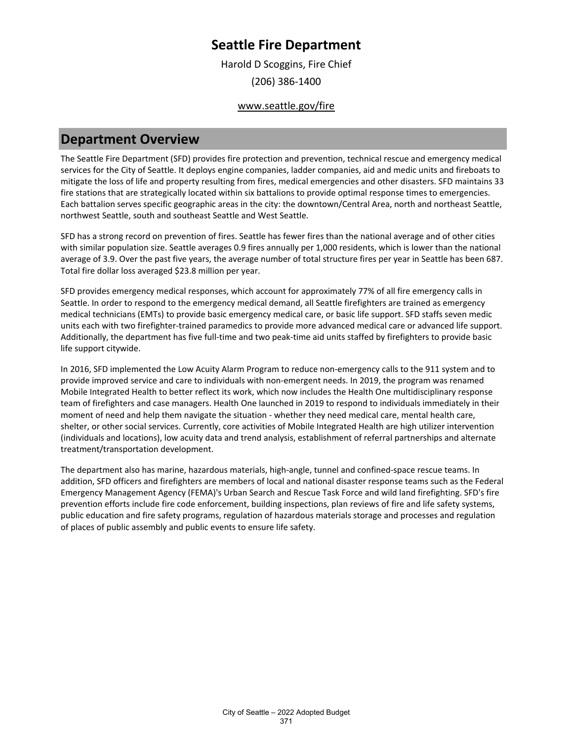Harold D Scoggins, Fire Chief (206) 386-1400

### www.seattle.gov/fire

### **Department Overview**

The Seattle Fire Department (SFD) provides fire protection and prevention, technical rescue and emergency medical services for the City of Seattle. It deploys engine companies, ladder companies, aid and medic units and fireboats to mitigate the loss of life and property resulting from fires, medical emergencies and other disasters. SFD maintains 33 fire stations that are strategically located within six battalions to provide optimal response times to emergencies. Each battalion serves specific geographic areas in the city: the downtown/Central Area, north and northeast Seattle, northwest Seattle, south and southeast Seattle and West Seattle.

SFD has a strong record on prevention of fires. Seattle has fewer fires than the national average and of other cities with similar population size. Seattle averages 0.9 fires annually per 1,000 residents, which is lower than the national average of 3.9. Over the past five years, the average number of total structure fires per year in Seattle has been 687. Total fire dollar loss averaged \$23.8 million per year.

SFD provides emergency medical responses, which account for approximately 77% of all fire emergency calls in Seattle. In order to respond to the emergency medical demand, all Seattle firefighters are trained as emergency medical technicians (EMTs) to provide basic emergency medical care, or basic life support. SFD staffs seven medic units each with two firefighter-trained paramedics to provide more advanced medical care or advanced life support. Additionally, the department has five full-time and two peak-time aid units staffed by firefighters to provide basic life support citywide.

In 2016, SFD implemented the Low Acuity Alarm Program to reduce non-emergency calls to the 911 system and to provide improved service and care to individuals with non-emergent needs. In 2019, the program was renamed Mobile Integrated Health to better reflect its work, which now includes the Health One multidisciplinary response team of firefighters and case managers. Health One launched in 2019 to respond to individuals immediately in their moment of need and help them navigate the situation - whether they need medical care, mental health care, shelter, or other social services. Currently, core activities of Mobile Integrated Health are high utilizer intervention (individuals and locations), low acuity data and trend analysis, establishment of referral partnerships and alternate treatment/transportation development.

The department also has marine, hazardous materials, high-angle, tunnel and confined-space rescue teams. In addition, SFD officers and firefighters are members of local and national disaster response teams such as the Federal Emergency Management Agency (FEMA)'s Urban Search and Rescue Task Force and wild land firefighting. SFD's fire prevention efforts include fire code enforcement, building inspections, plan reviews of fire and life safety systems, public education and fire safety programs, regulation of hazardous materials storage and processes and regulation of places of public assembly and public events to ensure life safety.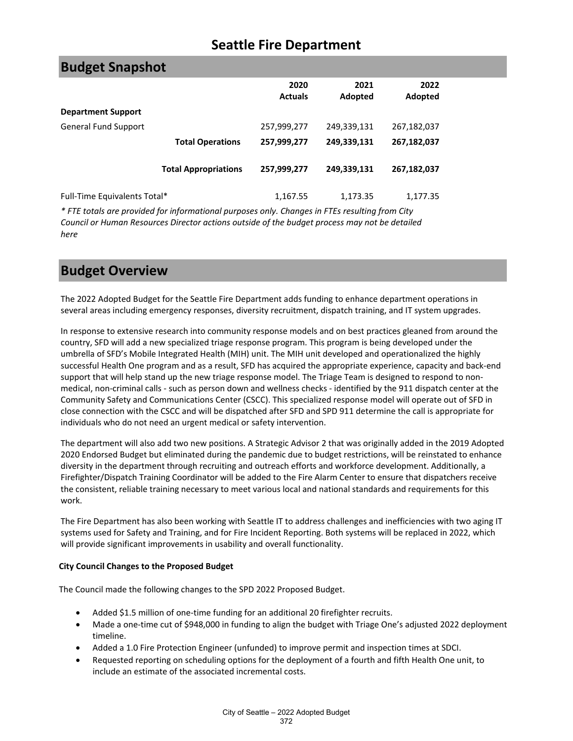| <b>Budget Snapshot</b>       |                             |                        |                 |                 |
|------------------------------|-----------------------------|------------------------|-----------------|-----------------|
|                              |                             | 2020<br><b>Actuals</b> | 2021<br>Adopted | 2022<br>Adopted |
| <b>Department Support</b>    |                             |                        |                 |                 |
| <b>General Fund Support</b>  |                             | 257,999,277            | 249,339,131     | 267,182,037     |
|                              | <b>Total Operations</b>     | 257,999,277            | 249,339,131     | 267,182,037     |
|                              | <b>Total Appropriations</b> | 257,999,277            | 249,339,131     | 267,182,037     |
| Full-Time Equivalents Total* |                             | 1,167.55               | 1,173.35        | 1,177.35        |

*\* FTE totals are provided for informational purposes only. Changes in FTEs resulting from City Council or Human Resources Director actions outside of the budget process may not be detailed here*

## **Budget Overview**

The 2022 Adopted Budget for the Seattle Fire Department adds funding to enhance department operations in several areas including emergency responses, diversity recruitment, dispatch training, and IT system upgrades.

In response to extensive research into community response models and on best practices gleaned from around the country, SFD will add a new specialized triage response program. This program is being developed under the umbrella of SFD's Mobile Integrated Health (MIH) unit. The MIH unit developed and operationalized the highly successful Health One program and as a result, SFD has acquired the appropriate experience, capacity and back-end support that will help stand up the new triage response model. The Triage Team is designed to respond to nonmedical, non-criminal calls - such as person down and wellness checks - identified by the 911 dispatch center at the Community Safety and Communications Center (CSCC). This specialized response model will operate out of SFD in close connection with the CSCC and will be dispatched after SFD and SPD 911 determine the call is appropriate for individuals who do not need an urgent medical or safety intervention.

The department will also add two new positions. A Strategic Advisor 2 that was originally added in the 2019 Adopted 2020 Endorsed Budget but eliminated during the pandemic due to budget restrictions, will be reinstated to enhance diversity in the department through recruiting and outreach efforts and workforce development. Additionally, a Firefighter/Dispatch Training Coordinator will be added to the Fire Alarm Center to ensure that dispatchers receive the consistent, reliable training necessary to meet various local and national standards and requirements for this work.

The Fire Department has also been working with Seattle IT to address challenges and inefficiencies with two aging IT systems used for Safety and Training, and for Fire Incident Reporting. Both systems will be replaced in 2022, which will provide significant improvements in usability and overall functionality.

#### **City Council Changes to the Proposed Budget**

The Council made the following changes to the SPD 2022 Proposed Budget.

- Added \$1.5 million of one-time funding for an additional 20 firefighter recruits.
- Made a one-time cut of \$948,000 in funding to align the budget with Triage One's adjusted 2022 deployment timeline.
- Added a 1.0 Fire Protection Engineer (unfunded) to improve permit and inspection times at SDCI.
- Requested reporting on scheduling options for the deployment of a fourth and fifth Health One unit, to include an estimate of the associated incremental costs.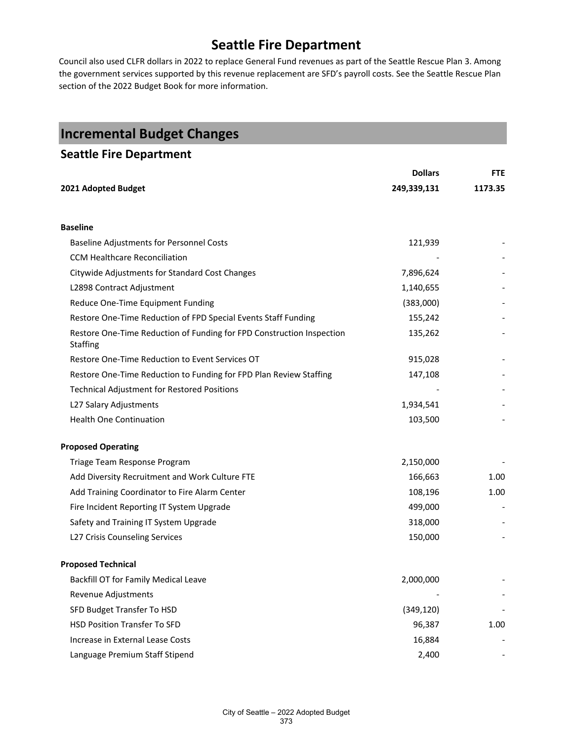Council also used CLFR dollars in 2022 to replace General Fund revenues as part of the Seattle Rescue Plan 3. Among the government services supported by this revenue replacement are SFD's payroll costs. See the Seattle Rescue Plan section of the 2022 Budget Book for more information.

| <b>Incremental Budget Changes</b>                                                        |                |            |
|------------------------------------------------------------------------------------------|----------------|------------|
| <b>Seattle Fire Department</b>                                                           |                |            |
|                                                                                          | <b>Dollars</b> | <b>FTE</b> |
| 2021 Adopted Budget                                                                      | 249,339,131    | 1173.35    |
|                                                                                          |                |            |
| <b>Baseline</b>                                                                          |                |            |
| <b>Baseline Adjustments for Personnel Costs</b>                                          | 121,939        |            |
| CCM Healthcare Reconciliation                                                            |                |            |
| Citywide Adjustments for Standard Cost Changes                                           | 7,896,624      |            |
| L2898 Contract Adjustment                                                                | 1,140,655      |            |
| Reduce One-Time Equipment Funding                                                        | (383,000)      |            |
| Restore One-Time Reduction of FPD Special Events Staff Funding                           | 155,242        |            |
| Restore One-Time Reduction of Funding for FPD Construction Inspection<br><b>Staffing</b> | 135,262        |            |
| Restore One-Time Reduction to Event Services OT                                          | 915,028        |            |
| Restore One-Time Reduction to Funding for FPD Plan Review Staffing                       | 147,108        |            |
| <b>Technical Adjustment for Restored Positions</b>                                       |                |            |
| L27 Salary Adjustments                                                                   | 1,934,541      |            |
| <b>Health One Continuation</b>                                                           | 103,500        |            |
| <b>Proposed Operating</b>                                                                |                |            |
| Triage Team Response Program                                                             | 2,150,000      |            |
| Add Diversity Recruitment and Work Culture FTE                                           | 166,663        | 1.00       |
| Add Training Coordinator to Fire Alarm Center                                            | 108,196        | 1.00       |
| Fire Incident Reporting IT System Upgrade                                                | 499,000        |            |
| Safety and Training IT System Upgrade                                                    | 318,000        |            |
| L27 Crisis Counseling Services                                                           | 150,000        |            |
| <b>Proposed Technical</b>                                                                |                |            |
| Backfill OT for Family Medical Leave                                                     | 2,000,000      |            |
| Revenue Adjustments                                                                      |                |            |
| SFD Budget Transfer To HSD                                                               | (349, 120)     |            |
| <b>HSD Position Transfer To SFD</b>                                                      | 96,387         | 1.00       |
| Increase in External Lease Costs                                                         | 16,884         |            |
| Language Premium Staff Stipend                                                           | 2,400          |            |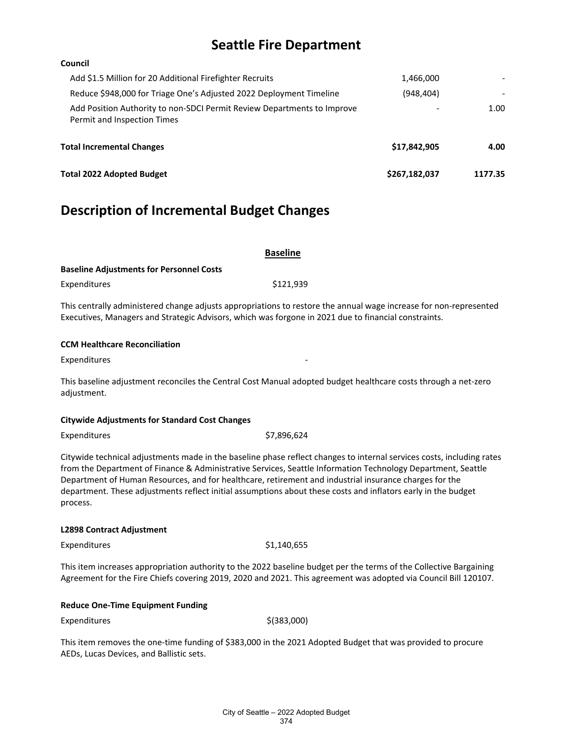#### **Council**

| Total 2022 Adopted Budget                                                                              | \$267,182,037 | 1177.35 |
|--------------------------------------------------------------------------------------------------------|---------------|---------|
| <b>Total Incremental Changes</b>                                                                       | \$17.842.905  | 4.00    |
| Add Position Authority to non-SDCI Permit Review Departments to Improve<br>Permit and Inspection Times |               | 1.00    |
| Reduce \$948,000 for Triage One's Adjusted 2022 Deployment Timeline                                    | (948.404)     |         |
| Add \$1.5 Million for 20 Additional Firefighter Recruits                                               | 1,466,000     |         |

## **Description of Incremental Budget Changes**

|                                                 | <b>Baseline</b> |  |
|-------------------------------------------------|-----------------|--|
| <b>Baseline Adjustments for Personnel Costs</b> |                 |  |
| Expenditures                                    | \$121.939       |  |

This centrally administered change adjusts appropriations to restore the annual wage increase for non-represented Executives, Managers and Strategic Advisors, which was forgone in 2021 due to financial constraints.

#### **CCM Healthcare Reconciliation**

Expenditures

This baseline adjustment reconciles the Central Cost Manual adopted budget healthcare costs through a net-zero adjustment.

#### **Citywide Adjustments for Standard Cost Changes**

Expenditures \$7,896,624

Citywide technical adjustments made in the baseline phase reflect changes to internal services costs, including rates from the Department of Finance & Administrative Services, Seattle Information Technology Department, Seattle Department of Human Resources, and for healthcare, retirement and industrial insurance charges for the department. These adjustments reflect initial assumptions about these costs and inflators early in the budget process.

#### **L2898 Contract Adjustment**

 $Expenditures$   $$1,140,655$ 

This item increases appropriation authority to the 2022 baseline budget per the terms of the Collective Bargaining Agreement for the Fire Chiefs covering 2019, 2020 and 2021. This agreement was adopted via Council Bill 120107.

#### **Reduce One-Time Equipment Funding**

 ${\rm Expenditures}$  \$(383,000)

This item removes the one-time funding of \$383,000 in the 2021 Adopted Budget that was provided to procure AEDs, Lucas Devices, and Ballistic sets.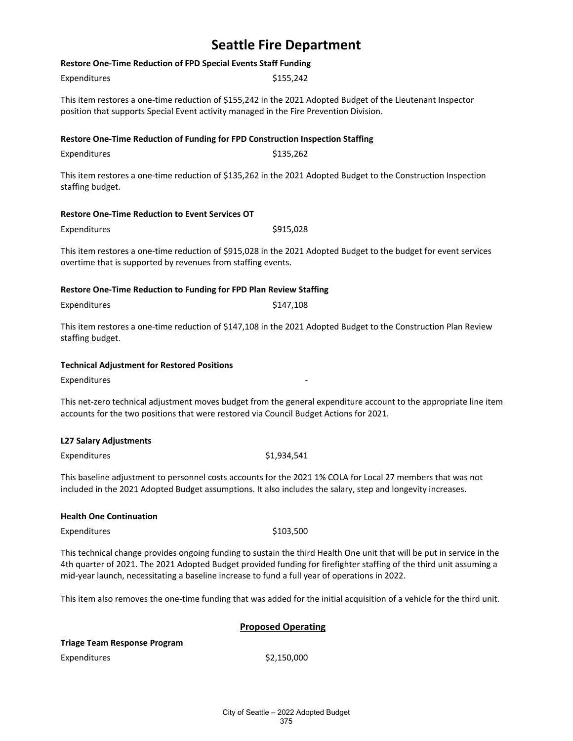### **Restore One-Time Reduction of FPD Special Events Staff Funding**

| Expenditures                                                                           | \$155,242                                                                                                         |
|----------------------------------------------------------------------------------------|-------------------------------------------------------------------------------------------------------------------|
| position that supports Special Event activity managed in the Fire Prevention Division. | This item restores a one-time reduction of \$155,242 in the 2021 Adopted Budget of the Lieutenant Inspector       |
| Restore One-Time Reduction of Funding for FPD Construction Inspection Staffing         |                                                                                                                   |
| Expenditures                                                                           | \$135,262                                                                                                         |
| staffing budget.                                                                       | This item restores a one-time reduction of \$135,262 in the 2021 Adopted Budget to the Construction Inspection    |
| <b>Restore One-Time Reduction to Event Services OT</b>                                 |                                                                                                                   |
| Expenditures                                                                           | \$915,028                                                                                                         |
| overtime that is supported by revenues from staffing events.                           | This item restores a one-time reduction of \$915,028 in the 2021 Adopted Budget to the budget for event services  |
| Restore One-Time Reduction to Funding for FPD Plan Review Staffing                     |                                                                                                                   |
| Expenditures                                                                           | \$147,108                                                                                                         |
| staffing budget.                                                                       | This item restores a one-time reduction of \$147,108 in the 2021 Adopted Budget to the Construction Plan Review   |
| <b>Technical Adjustment for Restored Positions</b>                                     |                                                                                                                   |
| Expenditures                                                                           |                                                                                                                   |
| accounts for the two positions that were restored via Council Budget Actions for 2021. | This net-zero technical adjustment moves budget from the general expenditure account to the appropriate line item |

#### **L27 Salary Adjustments**

Expenditures \$1,934,541

This baseline adjustment to personnel costs accounts for the 2021 1% COLA for Local 27 members that was not included in the 2021 Adopted Budget assumptions. It also includes the salary, step and longevity increases.

#### **Health One Continuation**

Expenditures \$103,500

This technical change provides ongoing funding to sustain the third Health One unit that will be put in service in the 4th quarter of 2021. The 2021 Adopted Budget provided funding for firefighter staffing of the third unit assuming a mid-year launch, necessitating a baseline increase to fund a full year of operations in 2022.

This item also removes the one-time funding that was added for the initial acquisition of a vehicle for the third unit.

#### **Proposed Operating**

 $$2,150,000$ 

| Triage Team Response Program |  |
|------------------------------|--|
| Expenditures                 |  |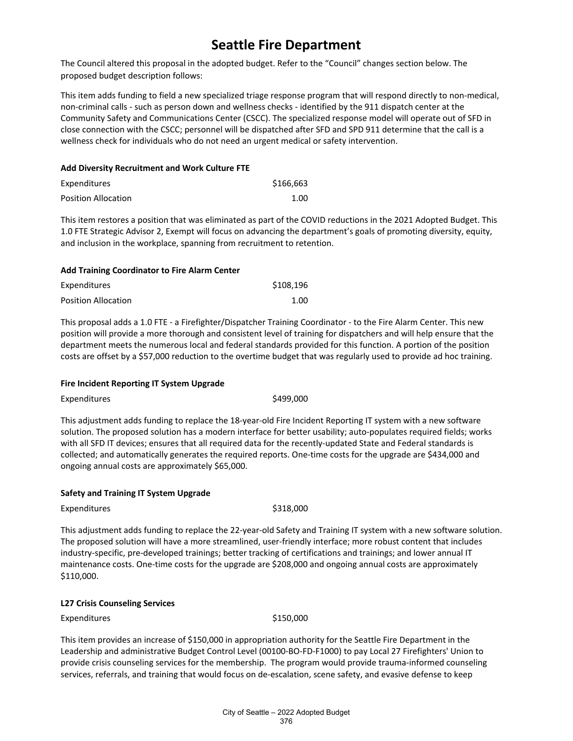The Council altered this proposal in the adopted budget. Refer to the "Council" changes section below. The proposed budget description follows:

This item adds funding to field a new specialized triage response program that will respond directly to non-medical, non-criminal calls - such as person down and wellness checks - identified by the 911 dispatch center at the Community Safety and Communications Center (CSCC). The specialized response model will operate out of SFD in close connection with the CSCC; personnel will be dispatched after SFD and SPD 911 determine that the call is a wellness check for individuals who do not need an urgent medical or safety intervention.

#### **Add Diversity Recruitment and Work Culture FTE**

| Expenditures        | \$166,663 |
|---------------------|-----------|
| Position Allocation | 1.00      |

This item restores a position that was eliminated as part of the COVID reductions in the 2021 Adopted Budget. This 1.0 FTE Strategic Advisor 2, Exempt will focus on advancing the department's goals of promoting diversity, equity, and inclusion in the workplace, spanning from recruitment to retention.

#### **Add Training Coordinator to Fire Alarm Center**

| Expenditures        | \$108,196 |
|---------------------|-----------|
| Position Allocation | 1.00      |

This proposal adds a 1.0 FTE - a Firefighter/Dispatcher Training Coordinator - to the Fire Alarm Center. This new position will provide a more thorough and consistent level of training for dispatchers and will help ensure that the department meets the numerous local and federal standards provided for this function. A portion of the position costs are offset by a \$57,000 reduction to the overtime budget that was regularly used to provide ad hoc training.

#### **Fire Incident Reporting IT System Upgrade**

Expenditures \$499,000

This adjustment adds funding to replace the 18-year-old Fire Incident Reporting IT system with a new software solution. The proposed solution has a modern interface for better usability; auto-populates required fields; works with all SFD IT devices; ensures that all required data for the recently-updated State and Federal standards is collected; and automatically generates the required reports. One-time costs for the upgrade are \$434,000 and ongoing annual costs are approximately \$65,000.

#### **Safety and Training IT System Upgrade**

Expenditures \$318,000

This adjustment adds funding to replace the 22-year-old Safety and Training IT system with a new software solution. The proposed solution will have a more streamlined, user-friendly interface; more robust content that includes industry-specific, pre-developed trainings; better tracking of certifications and trainings; and lower annual IT maintenance costs. One-time costs for the upgrade are \$208,000 and ongoing annual costs are approximately \$110,000.

#### **L27 Crisis Counseling Services**

Expenditures \$150,000

This item provides an increase of \$150,000 in appropriation authority for the Seattle Fire Department in the Leadership and administrative Budget Control Level (00100-BO-FD-F1000) to pay Local 27 Firefighters' Union to provide crisis counseling services for the membership. The program would provide trauma-informed counseling services, referrals, and training that would focus on de-escalation, scene safety, and evasive defense to keep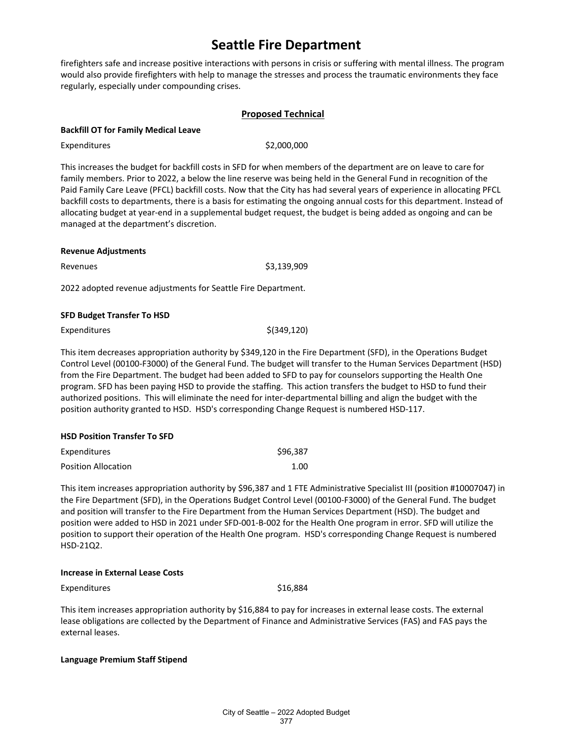firefighters safe and increase positive interactions with persons in crisis or suffering with mental illness. The program would also provide firefighters with help to manage the stresses and process the traumatic environments they face regularly, especially under compounding crises.

#### **Proposed Technical**

#### **Backfill OT for Family Medical Leave**

Expenditures \$2,000,000

This increases the budget for backfill costs in SFD for when members of the department are on leave to care for family members. Prior to 2022, a below the line reserve was being held in the General Fund in recognition of the Paid Family Care Leave (PFCL) backfill costs. Now that the City has had several years of experience in allocating PFCL backfill costs to departments, there is a basis for estimating the ongoing annual costs for this department. Instead of allocating budget at year-end in a supplemental budget request, the budget is being added as ongoing and can be managed at the department's discretion.

# **Revenue Adjustments** Revenues \$3,139,909 2022 adopted revenue adjustments for Seattle Fire Department.

#### **SFD Budget Transfer To HSD**

| Expenditures | $$$ (349,120) |
|--------------|---------------|
|--------------|---------------|

This item decreases appropriation authority by \$349,120 in the Fire Department (SFD), in the Operations Budget Control Level (00100-F3000) of the General Fund. The budget will transfer to the Human Services Department (HSD) from the Fire Department. The budget had been added to SFD to pay for counselors supporting the Health One program. SFD has been paying HSD to provide the staffing. This action transfers the budget to HSD to fund their authorized positions. This will eliminate the need for inter-departmental billing and align the budget with the position authority granted to HSD. HSD's corresponding Change Request is numbered HSD-117.

#### **HSD Position Transfer To SFD**

| Expenditures        | \$96,387 |
|---------------------|----------|
| Position Allocation | 1.00     |

This item increases appropriation authority by \$96,387 and 1 FTE Administrative Specialist III (position #10007047) in the Fire Department (SFD), in the Operations Budget Control Level (00100-F3000) of the General Fund. The budget and position will transfer to the Fire Department from the Human Services Department (HSD). The budget and position were added to HSD in 2021 under SFD-001-B-002 for the Health One program in error. SFD will utilize the position to support their operation of the Health One program. HSD's corresponding Change Request is numbered HSD-21Q2.

#### **Increase in External Lease Costs**

Expenditures \$16,884

This item increases appropriation authority by \$16,884 to pay for increases in external lease costs. The external lease obligations are collected by the Department of Finance and Administrative Services (FAS) and FAS pays the external leases.

#### **Language Premium Staff Stipend**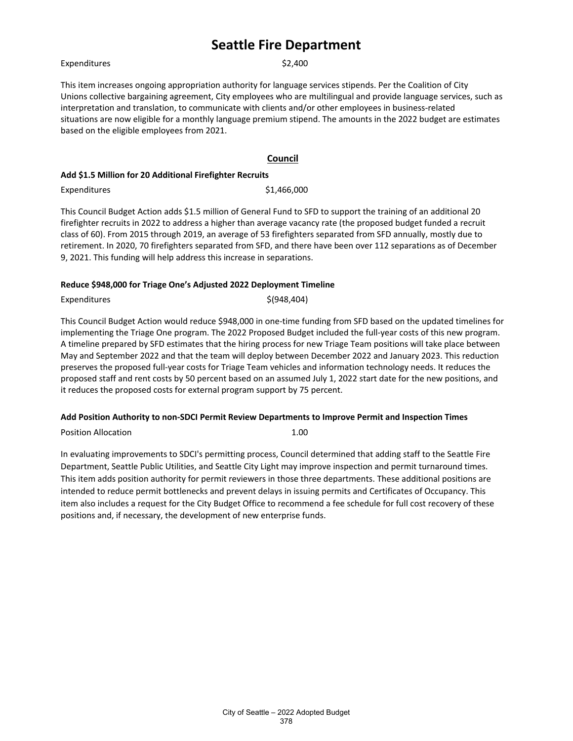Expenditures \$2,400

This item increases ongoing appropriation authority for language services stipends. Per the Coalition of City Unions collective bargaining agreement, City employees who are multilingual and provide language services, such as interpretation and translation, to communicate with clients and/or other employees in business-related situations are now eligible for a monthly language premium stipend. The amounts in the 2022 budget are estimates based on the eligible employees from 2021.

#### **Council**

#### **Add \$1.5 Million for 20 Additional Firefighter Recruits**

Expenditures \$1,466,000

This Council Budget Action adds \$1.5 million of General Fund to SFD to support the training of an additional 20 firefighter recruits in 2022 to address a higher than average vacancy rate (the proposed budget funded a recruit class of 60). From 2015 through 2019, an average of 53 firefighters separated from SFD annually, mostly due to retirement. In 2020, 70 firefighters separated from SFD, and there have been over 112 separations as of December 9, 2021. This funding will help address this increase in separations.

#### **Reduce \$948,000 for Triage One's Adjusted 2022 Deployment Timeline**

Expenditures  $\zeta(948,404)$ 

This Council Budget Action would reduce \$948,000 in one-time funding from SFD based on the updated timelines for implementing the Triage One program. The 2022 Proposed Budget included the full-year costs of this new program. A timeline prepared by SFD estimates that the hiring process for new Triage Team positions will take place between May and September 2022 and that the team will deploy between December 2022 and January 2023. This reduction preserves the proposed full-year costs for Triage Team vehicles and information technology needs. It reduces the proposed staff and rent costs by 50 percent based on an assumed July 1, 2022 start date for the new positions, and it reduces the proposed costs for external program support by 75 percent.

#### **Add Position Authority to non-SDCI Permit Review Departments to Improve Permit and Inspection Times**

Position Allocation **1.00** 

In evaluating improvements to SDCI's permitting process, Council determined that adding staff to the Seattle Fire Department, Seattle Public Utilities, and Seattle City Light may improve inspection and permit turnaround times. This item adds position authority for permit reviewers in those three departments. These additional positions are intended to reduce permit bottlenecks and prevent delays in issuing permits and Certificates of Occupancy. This item also includes a request for the City Budget Office to recommend a fee schedule for full cost recovery of these positions and, if necessary, the development of new enterprise funds.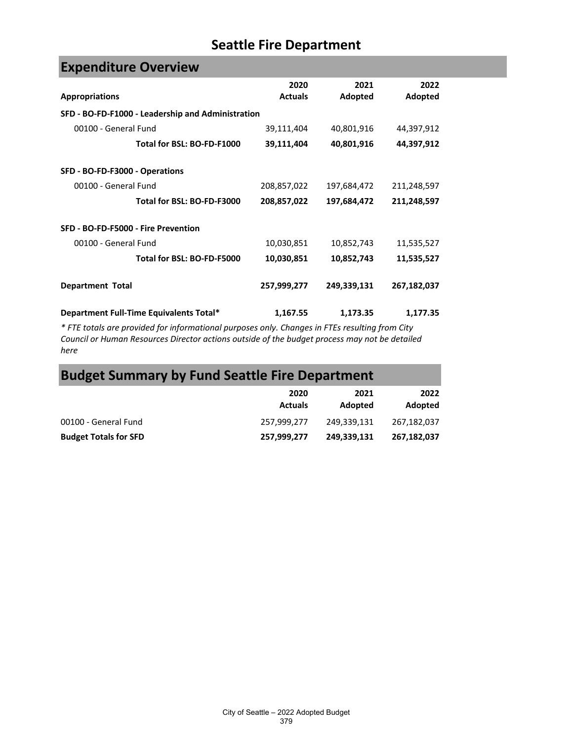| <b>Expenditure Overview</b>                       |                |             |             |  |
|---------------------------------------------------|----------------|-------------|-------------|--|
|                                                   | 2020           | 2021        | 2022        |  |
| <b>Appropriations</b>                             | <b>Actuals</b> | Adopted     | Adopted     |  |
| SFD - BO-FD-F1000 - Leadership and Administration |                |             |             |  |
| 00100 - General Fund                              | 39,111,404     | 40,801,916  | 44,397,912  |  |
| Total for BSL: BO-FD-F1000                        | 39,111,404     | 40,801,916  | 44,397,912  |  |
| SFD - BO-FD-F3000 - Operations                    |                |             |             |  |
| 00100 - General Fund                              | 208,857,022    | 197,684,472 | 211,248,597 |  |
| Total for BSL: BO-FD-F3000                        | 208,857,022    | 197,684,472 | 211,248,597 |  |
| SFD - BO-FD-F5000 - Fire Prevention               |                |             |             |  |
| 00100 - General Fund                              | 10,030,851     | 10,852,743  | 11,535,527  |  |
| Total for BSL: BO-FD-F5000                        | 10,030,851     | 10,852,743  | 11,535,527  |  |
| <b>Department Total</b>                           | 257,999,277    | 249,339,131 | 267,182,037 |  |
| Department Full-Time Equivalents Total*           | 1,167.55       | 1,173.35    | 1,177.35    |  |

*\* FTE totals are provided for informational purposes only. Changes in FTEs resulting from City Council or Human Resources Director actions outside of the budget process may not be detailed here*

# **Budget Summary by Fund Seattle Fire Department**

|                              | 2020<br><b>Actuals</b> | 2021<br>Adopted | 2022<br>Adopted |
|------------------------------|------------------------|-----------------|-----------------|
| 00100 - General Fund         | 257.999.277            | 249.339.131     | 267.182.037     |
| <b>Budget Totals for SFD</b> | 257,999,277            | 249,339,131     | 267,182,037     |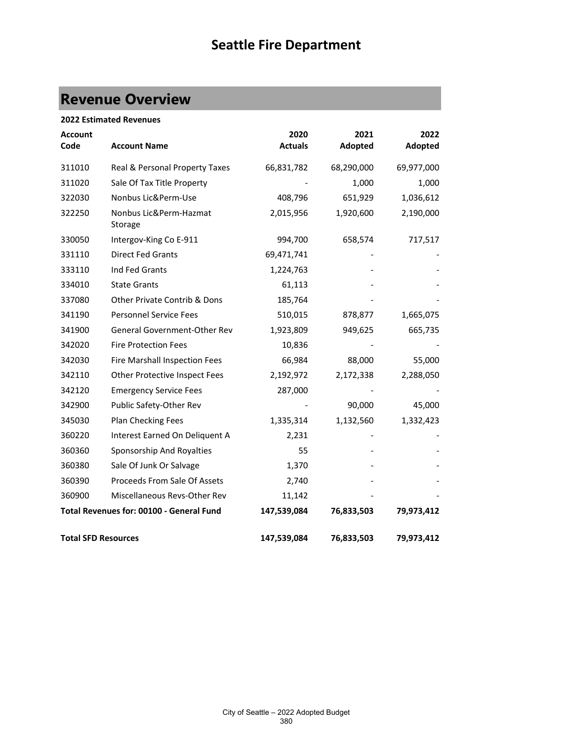# **Revenue Overview**

| <b>2022 Estimated Revenues</b> |                                          |                        |                 |                 |
|--------------------------------|------------------------------------------|------------------------|-----------------|-----------------|
| <b>Account</b><br>Code         | <b>Account Name</b>                      | 2020<br><b>Actuals</b> | 2021<br>Adopted | 2022<br>Adopted |
| 311010                         | Real & Personal Property Taxes           | 66,831,782             | 68,290,000      | 69,977,000      |
| 311020                         | Sale Of Tax Title Property               |                        | 1,000           | 1,000           |
| 322030                         | Nonbus Lic&Perm-Use                      | 408,796                | 651,929         | 1,036,612       |
| 322250                         | Nonbus Lic&Perm-Hazmat<br>Storage        | 2,015,956              | 1,920,600       | 2,190,000       |
| 330050                         | Intergov-King Co E-911                   | 994,700                | 658,574         | 717,517         |
| 331110                         | Direct Fed Grants                        | 69,471,741             |                 |                 |
| 333110                         | Ind Fed Grants                           | 1,224,763              |                 |                 |
| 334010                         | <b>State Grants</b>                      | 61,113                 |                 |                 |
| 337080                         | Other Private Contrib & Dons             | 185,764                |                 |                 |
| 341190                         | <b>Personnel Service Fees</b>            | 510,015                | 878,877         | 1,665,075       |
| 341900                         | General Government-Other Rev             | 1,923,809              | 949,625         | 665,735         |
| 342020                         | <b>Fire Protection Fees</b>              | 10,836                 |                 |                 |
| 342030                         | Fire Marshall Inspection Fees            | 66,984                 | 88,000          | 55,000          |
| 342110                         | Other Protective Inspect Fees            | 2,192,972              | 2,172,338       | 2,288,050       |
| 342120                         | <b>Emergency Service Fees</b>            | 287,000                |                 |                 |
| 342900                         | Public Safety-Other Rev                  |                        | 90,000          | 45,000          |
| 345030                         | Plan Checking Fees                       | 1,335,314              | 1,132,560       | 1,332,423       |
| 360220                         | Interest Earned On Deliquent A           | 2,231                  |                 |                 |
| 360360                         | Sponsorship And Royalties                | 55                     |                 |                 |
| 360380                         | Sale Of Junk Or Salvage                  | 1,370                  |                 |                 |
| 360390                         | Proceeds From Sale Of Assets             | 2,740                  |                 |                 |
| 360900                         | Miscellaneous Revs-Other Rev             | 11,142                 |                 |                 |
|                                | Total Revenues for: 00100 - General Fund | 147,539,084            | 76,833,503      | 79,973,412      |
| <b>Total SFD Resources</b>     |                                          | 147,539,084            | 76,833,503      | 79,973,412      |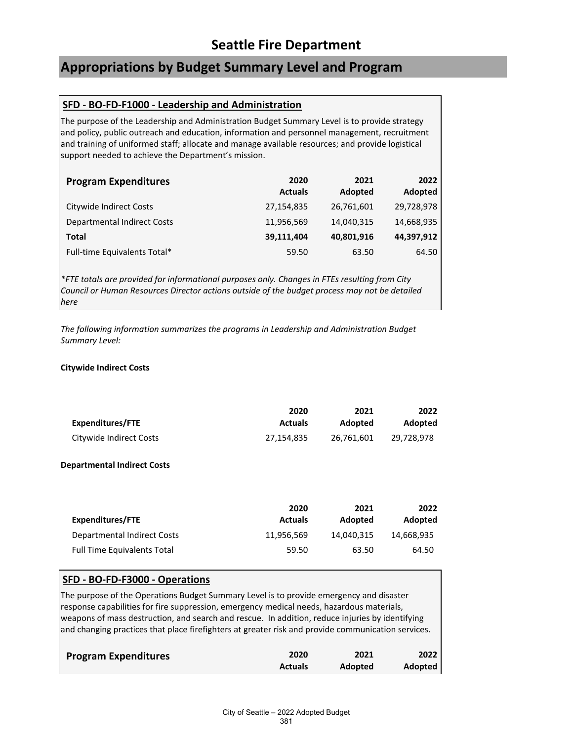## **Appropriations by Budget Summary Level and Program**

### **SFD - BO-FD-F1000 - Leadership and Administration**

The purpose of the Leadership and Administration Budget Summary Level is to provide strategy and policy, public outreach and education, information and personnel management, recruitment and training of uniformed staff; allocate and manage available resources; and provide logistical support needed to achieve the Department's mission.

| <b>Program Expenditures</b>        | 2020<br><b>Actuals</b> | 2021<br>Adopted | 2022<br>Adopted |
|------------------------------------|------------------------|-----------------|-----------------|
| Citywide Indirect Costs            | 27,154,835             | 26,761,601      | 29,728,978      |
| <b>Departmental Indirect Costs</b> | 11,956,569             | 14,040,315      | 14,668,935      |
| Total                              | 39,111,404             | 40,801,916      | 44,397,912      |
| Full-time Equivalents Total*       | 59.50                  | 63.50           | 64.50           |

*\*FTE totals are provided for informational purposes only. Changes in FTEs resulting from City Council or Human Resources Director actions outside of the budget process may not be detailed here*

*The following information summarizes the programs in Leadership and Administration Budget Summary Level:*

#### **Citywide Indirect Costs**

|                         | 2020           | 2021       | 2022           |
|-------------------------|----------------|------------|----------------|
| Expenditures/FTE        | <b>Actuals</b> | Adopted    | <b>Adopted</b> |
| Citywide Indirect Costs | 27.154.835     | 26.761.601 | 29.728.978     |

#### **Departmental Indirect Costs**

| <b>Expenditures/FTE</b>            | 2020<br><b>Actuals</b> | 2021<br>Adopted | 2022<br>Adopted |
|------------------------------------|------------------------|-----------------|-----------------|
| Departmental Indirect Costs        | 11.956.569             | 14.040.315      | 14.668.935      |
| <b>Full Time Equivalents Total</b> | 59.50                  | 63.50           | 64.50           |

### **SFD - BO-FD-F3000 - Operations**

The purpose of the Operations Budget Summary Level is to provide emergency and disaster response capabilities for fire suppression, emergency medical needs, hazardous materials, weapons of mass destruction, and search and rescue. In addition, reduce injuries by identifying and changing practices that place firefighters at greater risk and provide communication services.

| <b>Program Expenditures</b> | 2020           | 2021    | 2022           |
|-----------------------------|----------------|---------|----------------|
|                             | <b>Actuals</b> | Adopted | <b>Adopted</b> |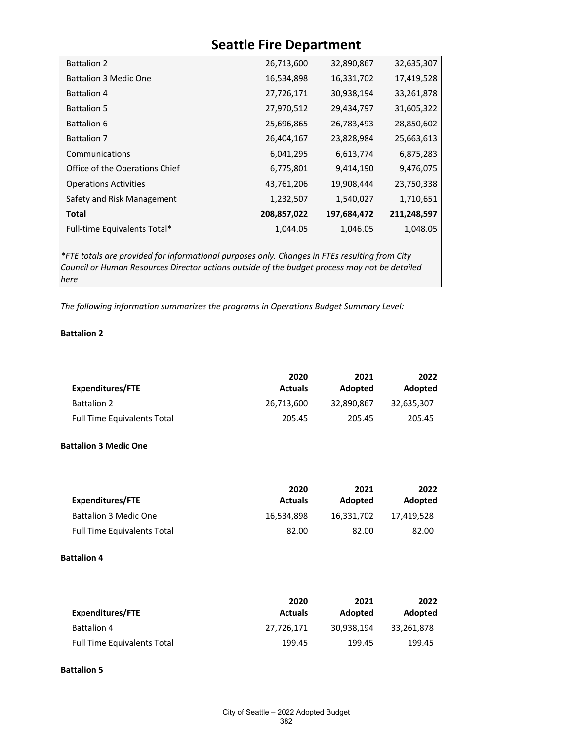| <b>Battalion 2</b>             | 26,713,600  | 32,890,867  | 32,635,307  |
|--------------------------------|-------------|-------------|-------------|
| <b>Battalion 3 Medic One</b>   | 16,534,898  | 16,331,702  | 17,419,528  |
| <b>Battalion 4</b>             | 27,726,171  | 30,938,194  | 33,261,878  |
| <b>Battalion 5</b>             | 27,970,512  | 29,434,797  | 31,605,322  |
| <b>Battalion 6</b>             | 25,696,865  | 26,783,493  | 28,850,602  |
| <b>Battalion 7</b>             | 26,404,167  | 23,828,984  | 25,663,613  |
| Communications                 | 6,041,295   | 6,613,774   | 6,875,283   |
| Office of the Operations Chief | 6,775,801   | 9,414,190   | 9,476,075   |
| <b>Operations Activities</b>   | 43,761,206  | 19,908,444  | 23,750,338  |
| Safety and Risk Management     | 1,232,507   | 1,540,027   | 1,710,651   |
| Total                          | 208,857,022 | 197,684,472 | 211,248,597 |
| Full-time Equivalents Total*   | 1,044.05    | 1,046.05    | 1,048.05    |
|                                |             |             |             |

*\*FTE totals are provided for informational purposes only. Changes in FTEs resulting from City Council or Human Resources Director actions outside of the budget process may not be detailed here*

*The following information summarizes the programs in Operations Budget Summary Level:*

#### **Battalion 2**

|                                    | 2020           | 2021       | 2022           |
|------------------------------------|----------------|------------|----------------|
| Expenditures/FTE                   | <b>Actuals</b> | Adopted    | <b>Adopted</b> |
| <b>Battalion 2</b>                 | 26,713,600     | 32.890.867 | 32,635,307     |
| <b>Full Time Equivalents Total</b> | 205.45         | 205.45     | 205.45         |

#### **Battalion 3 Medic One**

|                                    | 2020           | 2021           | 2022       |
|------------------------------------|----------------|----------------|------------|
| Expenditures/FTE                   | <b>Actuals</b> | <b>Adopted</b> | Adopted    |
| <b>Battalion 3 Medic One</b>       | 16.534.898     | 16.331.702     | 17.419.528 |
| <b>Full Time Equivalents Total</b> | 82.00          | 82.00          | 82.00      |

### **Battalion 4**

| Expenditures/FTE                   | 2020<br><b>Actuals</b> | 2021<br>Adopted | 2022<br>Adopted |
|------------------------------------|------------------------|-----------------|-----------------|
| <b>Battalion 4</b>                 | 27.726.171             | 30.938.194      | 33.261.878      |
| <b>Full Time Equivalents Total</b> | 199.45                 | 199.45          | 199.45          |

#### **Battalion 5**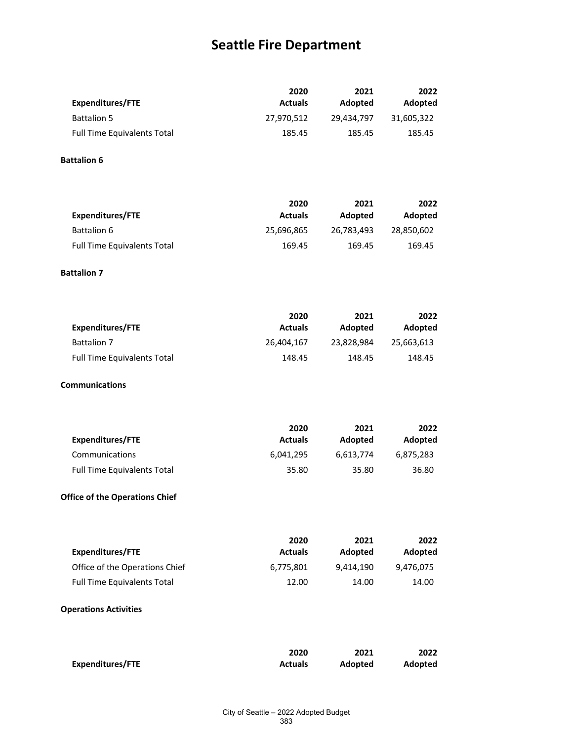|                                    | 2020           | 2021       | 2022       |
|------------------------------------|----------------|------------|------------|
| Expenditures/FTE                   | <b>Actuals</b> | Adopted    | Adopted    |
| <b>Battalion 5</b>                 | 27.970.512     | 29.434.797 | 31.605.322 |
| <b>Full Time Equivalents Total</b> | 185.45         | 185.45     | 185.45     |

### **Battalion 6**

|                                    | 2020           | 2021       | 2022           |
|------------------------------------|----------------|------------|----------------|
| Expenditures/FTE                   | <b>Actuals</b> | Adopted    | <b>Adopted</b> |
| Battalion 6                        | 25,696,865     | 26,783,493 | 28.850.602     |
| <b>Full Time Equivalents Total</b> | 169.45         | 169.45     | 169.45         |

### **Battalion 7**

|                                    | 2020           | 2021       | 2022       |
|------------------------------------|----------------|------------|------------|
| Expenditures/FTE                   | <b>Actuals</b> | Adopted    | Adopted    |
| <b>Battalion 7</b>                 | 26.404.167     | 23.828.984 | 25.663.613 |
| <b>Full Time Equivalents Total</b> | 148.45         | 148.45     | 148.45     |

#### **Communications**

| <b>Expenditures/FTE</b>            | 2020<br><b>Actuals</b> | 2021<br>Adopted | 2022<br>Adopted |
|------------------------------------|------------------------|-----------------|-----------------|
| Communications                     | 6.041.295              | 6.613.774       | 6,875,283       |
| <b>Full Time Equivalents Total</b> | 35.80                  | 35.80           | 36.80           |

### **Office of the Operations Chief**

| Expenditures/FTE                   | 2020<br><b>Actuals</b> | 2021<br>Adopted | 2022<br>Adopted |
|------------------------------------|------------------------|-----------------|-----------------|
| Office of the Operations Chief     | 6.775.801              | 9.414.190       | 9.476.075       |
| <b>Full Time Equivalents Total</b> | 12.00                  | 14.00           | 14.00           |

### **Operations Activities**

|                         | 2020           | 2021           | 2022    |
|-------------------------|----------------|----------------|---------|
| <b>Expenditures/FTE</b> | <b>Actuals</b> | <b>Adopted</b> | Adopted |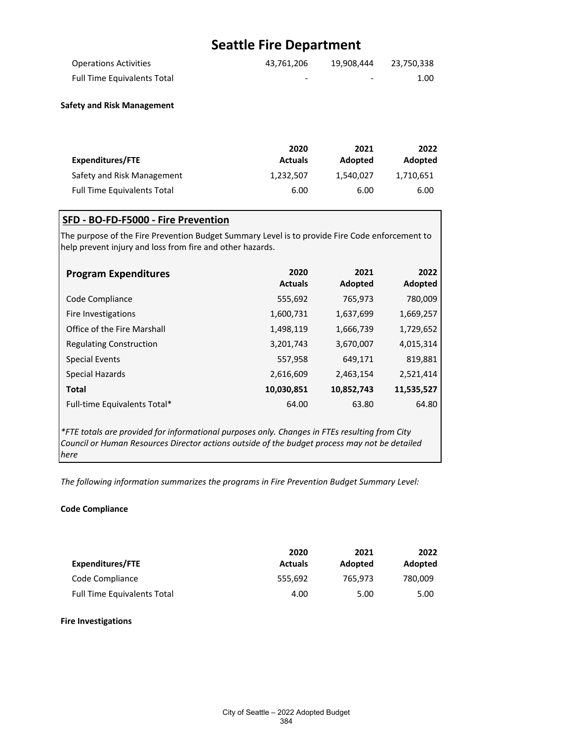| <b>Operations Activities</b>       | 43.761.206 | 19.908.444               | 23.750.338 |
|------------------------------------|------------|--------------------------|------------|
| <b>Full Time Equivalents Total</b> | -          | $\overline{\phantom{0}}$ | 1.00       |

#### **Safety and Risk Management**

|                                    | 2020           | 2021      | 2022      |
|------------------------------------|----------------|-----------|-----------|
| Expenditures/FTE                   | <b>Actuals</b> | Adopted   | Adopted   |
| Safety and Risk Management         | 1.232.507      | 1.540.027 | 1.710.651 |
| <b>Full Time Equivalents Total</b> | 6.00           | 6.00      | 6.00      |

### **SFD - BO-FD-F5000 - Fire Prevention**

The purpose of the Fire Prevention Budget Summary Level is to provide Fire Code enforcement to help prevent injury and loss from fire and other hazards.

| <b>Program Expenditures</b>    | 2020<br><b>Actuals</b> | 2021<br>Adopted | 2022<br>Adopted |
|--------------------------------|------------------------|-----------------|-----------------|
| Code Compliance                | 555,692                | 765,973         | 780,009         |
| Fire Investigations            | 1,600,731              | 1,637,699       | 1,669,257       |
| Office of the Fire Marshall    | 1,498,119              | 1,666,739       | 1,729,652       |
| <b>Regulating Construction</b> | 3,201,743              | 3,670,007       | 4,015,314       |
| Special Events                 | 557,958                | 649,171         | 819,881         |
| Special Hazards                | 2,616,609              | 2,463,154       | 2,521,414       |
| <b>Total</b>                   | 10,030,851             | 10,852,743      | 11,535,527      |
| Full-time Equivalents Total*   | 64.00                  | 63.80           | 64.80           |

*\*FTE totals are provided for informational purposes only. Changes in FTEs resulting from City Council or Human Resources Director actions outside of the budget process may not be detailed here*

*The following information summarizes the programs in Fire Prevention Budget Summary Level:*

#### **Code Compliance**

| Expenditures/FTE                   | 2020<br><b>Actuals</b> | 2021<br>Adopted | 2022<br>Adopted |
|------------------------------------|------------------------|-----------------|-----------------|
| Code Compliance                    | 555.692                | 765.973         | 780,009         |
| <b>Full Time Equivalents Total</b> | 4.00                   | 5.00            | 5.00            |

#### **Fire Investigations**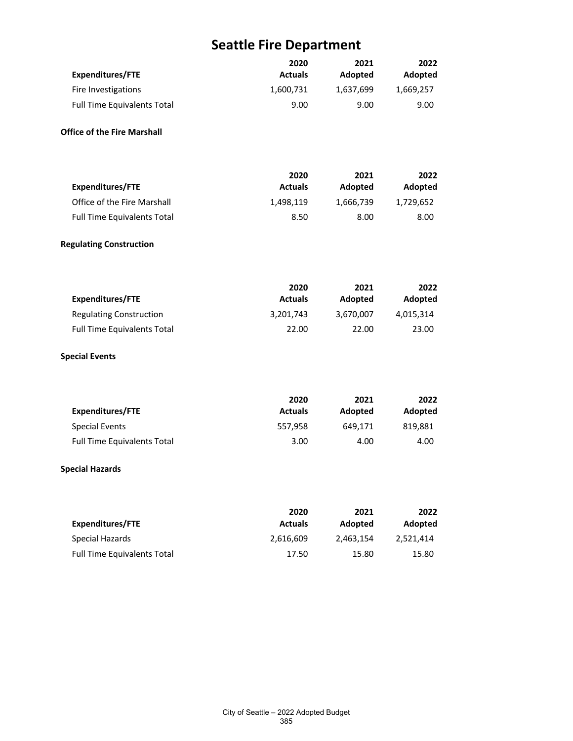| <b>Expenditures/FTE</b>            | 2020<br><b>Actuals</b> | 2021<br>Adopted | 2022<br>Adopted |
|------------------------------------|------------------------|-----------------|-----------------|
| Fire Investigations                | 1,600,731              | 1,637,699       | 1,669,257       |
| <b>Full Time Equivalents Total</b> | 9.00                   | 9.00            | 9.00            |
| <b>Office of the Fire Marshall</b> |                        |                 |                 |
| <b>Expenditures/FTE</b>            | 2020<br><b>Actuals</b> | 2021<br>Adopted | 2022<br>Adopted |
| Office of the Fire Marshall        | 1,498,119              | 1,666,739       | 1,729,652       |
| <b>Full Time Equivalents Total</b> | 8.50                   | 8.00            | 8.00            |
| <b>Regulating Construction</b>     |                        |                 |                 |
| <b>Expenditures/FTE</b>            | 2020<br><b>Actuals</b> | 2021<br>Adopted | 2022<br>Adopted |
| <b>Regulating Construction</b>     | 3,201,743              | 3,670,007       | 4,015,314       |
| <b>Full Time Equivalents Total</b> | 22.00                  | 22.00           | 23.00           |
| <b>Special Events</b>              |                        |                 |                 |
| <b>Expenditures/FTE</b>            | 2020<br><b>Actuals</b> | 2021<br>Adopted | 2022<br>Adopted |
| <b>Special Events</b>              | 557,958                | 649,171         | 819,881         |
| <b>Full Time Equivalents Total</b> | 3.00                   | 4.00            | 4.00            |
| <b>Special Hazards</b>             |                        |                 |                 |
| <b>Expenditures/FTE</b>            | 2020<br><b>Actuals</b> | 2021<br>Adopted | 2022<br>Adopted |
| <b>Special Hazards</b>             | 2,616,609              | 2,463,154       | 2,521,414       |
| <b>Full Time Equivalents Total</b> | 17.50                  | 15.80           | 15.80           |